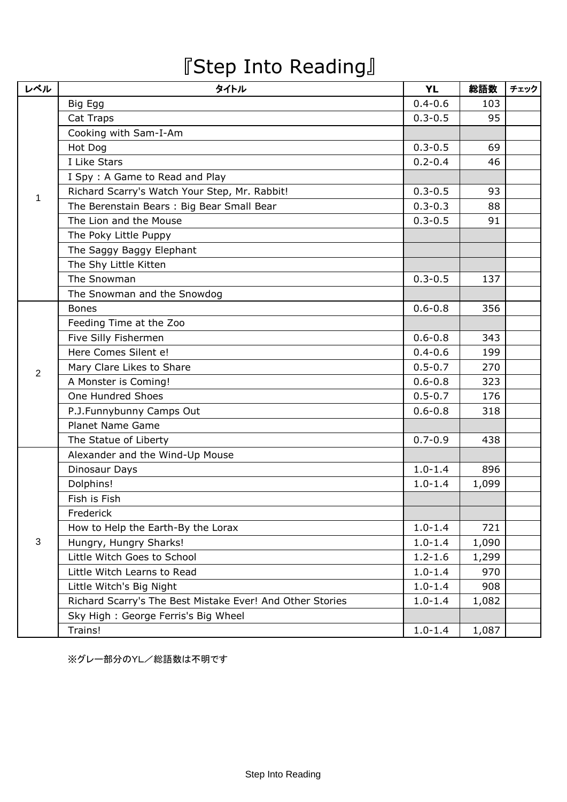## 『Step Into Reading』

| レベル            | タイトル                                                      | <b>YL</b>   | 総語数   | チェック |
|----------------|-----------------------------------------------------------|-------------|-------|------|
| 1              | Big Egg                                                   | $0.4 - 0.6$ | 103   |      |
|                | Cat Traps                                                 | $0.3 - 0.5$ | 95    |      |
|                | Cooking with Sam-I-Am                                     |             |       |      |
|                | Hot Dog                                                   | $0.3 - 0.5$ | 69    |      |
|                | I Like Stars                                              | $0.2 - 0.4$ | 46    |      |
|                | I Spy: A Game to Read and Play                            |             |       |      |
|                | Richard Scarry's Watch Your Step, Mr. Rabbit!             | $0.3 - 0.5$ | 93    |      |
|                | The Berenstain Bears: Big Bear Small Bear                 | $0.3 - 0.3$ | 88    |      |
|                | The Lion and the Mouse                                    | $0.3 - 0.5$ | 91    |      |
|                | The Poky Little Puppy                                     |             |       |      |
|                | The Saggy Baggy Elephant                                  |             |       |      |
|                | The Shy Little Kitten                                     |             |       |      |
|                | The Snowman                                               | $0.3 - 0.5$ | 137   |      |
|                | The Snowman and the Snowdog                               |             |       |      |
|                | <b>Bones</b>                                              | $0.6 - 0.8$ | 356   |      |
|                | Feeding Time at the Zoo                                   |             |       |      |
|                | Five Silly Fishermen                                      | $0.6 - 0.8$ | 343   |      |
|                | Here Comes Silent e!                                      | $0.4 - 0.6$ | 199   |      |
| $\overline{2}$ | Mary Clare Likes to Share                                 | $0.5 - 0.7$ | 270   |      |
|                | A Monster is Coming!                                      | $0.6 - 0.8$ | 323   |      |
|                | One Hundred Shoes                                         | $0.5 - 0.7$ | 176   |      |
|                | P.J.Funnybunny Camps Out                                  | $0.6 - 0.8$ | 318   |      |
|                | <b>Planet Name Game</b>                                   |             |       |      |
|                | The Statue of Liberty                                     | $0.7 - 0.9$ | 438   |      |
|                | Alexander and the Wind-Up Mouse                           |             |       |      |
|                | Dinosaur Days                                             | $1.0 - 1.4$ | 896   |      |
|                | Dolphins!                                                 | $1.0 - 1.4$ | 1,099 |      |
|                | Fish is Fish                                              |             |       |      |
|                | Frederick                                                 |             |       |      |
|                | How to Help the Earth-By the Lorax                        | $1.0 - 1.4$ | 721   |      |
| 3              | Hungry, Hungry Sharks!                                    | $1.0 - 1.4$ | 1,090 |      |
|                | Little Witch Goes to School                               | $1.2 - 1.6$ | 1,299 |      |
|                | Little Witch Learns to Read                               | $1.0 - 1.4$ | 970   |      |
|                | Little Witch's Big Night                                  | $1.0 - 1.4$ | 908   |      |
|                | Richard Scarry's The Best Mistake Ever! And Other Stories | $1.0 - 1.4$ | 1,082 |      |
|                | Sky High: George Ferris's Big Wheel                       |             |       |      |
|                | Trains!                                                   | $1.0 - 1.4$ | 1,087 |      |

※グレー部分のYL/総語数は不明です